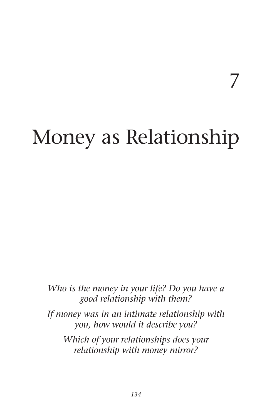7

# Money as Relationship

*Who is the money in your life? Do you have a good relationship with them?*

*If money was in an intimate relationship with you, how would it describe you?*

*Which of your relationships does your relationship with money mirror?*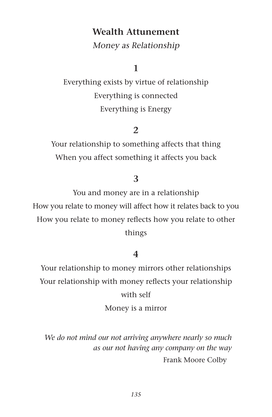## **Wealth Attunement**

#### Money as Relationship

#### **1**

Everything exists by virtue of relationship Everything is connected Everything is Energy

#### **2**

Your relationship to something affects that thing When you affect something it affects you back

### **3**

You and money are in a relationship How you relate to money will affect how it relates back to you How you relate to money reflects how you relate to other things

#### **4**

Your relationship to money mirrors other relationships Your relationship with money reflects your relationship with self

Money is a mirror

*We do not mind our not arriving anywhere nearly so much as our not having any company on the way*  Frank Moore Colby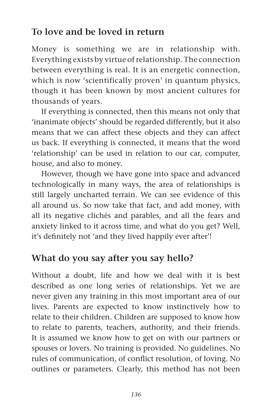# **To love and be loved in return**

Money is something we are in relationship with. Everything exists by virtue of relationship. The connection between everything is real. It is an energetic connection, which is now 'scientifically proven' in quantum physics, though it has been known by most ancient cultures for thousands of years.

If everything is connected, then this means not only that 'inanimate objects' should be regarded differently, but it also means that we can affect these objects and they can affect us back. If everything is connected, it means that the word 'relationship' can be used in relation to our car, computer, house, and also to money.

However, though we have gone into space and advanced technologically in many ways, the area of relationships is still largely uncharted terrain. We can see evidence of this all around us. So now take that fact, and add money, with all its negative clichés and parables, and all the fears and anxiety linked to it across time, and what do you get? Well, it's definitely not 'and they lived happily ever after'!

## **What do you say after you say hello?**

Without a doubt, life and how we deal with it is best described as one long series of relationships. Yet we are never given any training in this most important area of our lives. Parents are expected to know instinctively how to relate to their children. Children are supposed to know how to relate to parents, teachers, authority, and their friends. It is assumed we know how to get on with our partners or spouses or lovers. No training is provided. No guidelines. No rules of communication, of conflict resolution, of loving. No outlines or parameters. Clearly, this method has not been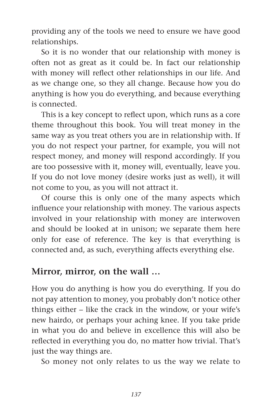providing any of the tools we need to ensure we have good relationships.

So it is no wonder that our relationship with money is often not as great as it could be. In fact our relationship with money will reflect other relationships in our life. And as we change one, so they all change. Because how you do anything is how you do everything, and because everything is connected.

This is a key concept to reflect upon, which runs as a core theme throughout this book. You will treat money in the same way as you treat others you are in relationship with. If you do not respect your partner, for example, you will not respect money, and money will respond accordingly. If you are too possessive with it, money will, eventually, leave you. If you do not love money (desire works just as well), it will not come to you, as you will not attract it.

Of course this is only one of the many aspects which influence your relationship with money. The various aspects involved in your relationship with money are interwoven and should be looked at in unison; we separate them here only for ease of reference. The key is that everything is connected and, as such, everything affects everything else.

## **Mirror, mirror, on the wall …**

How you do anything is how you do everything. If you do not pay attention to money, you probably don't notice other things either – like the crack in the window, or your wife's new hairdo, or perhaps your aching knee. If you take pride in what you do and believe in excellence this will also be reflected in everything you do, no matter how trivial. That's just the way things are.

So money not only relates to us the way we relate to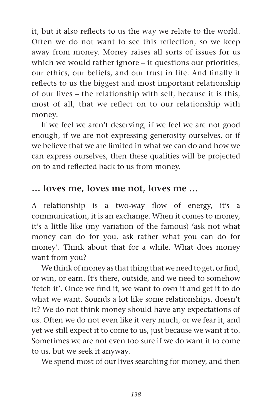it, but it also reflects to us the way we relate to the world. Often we do not want to see this reflection, so we keep away from money. Money raises all sorts of issues for us which we would rather ignore – it questions our priorities, our ethics, our beliefs, and our trust in life. And finally it reflects to us the biggest and most important relationship of our lives – the relationship with self, because it is this, most of all, that we reflect on to our relationship with money.

If we feel we aren't deserving, if we feel we are not good enough, if we are not expressing generosity ourselves, or if we believe that we are limited in what we can do and how we can express ourselves, then these qualities will be projected on to and reflected back to us from money.

## **… loves me, loves me not, loves me …**

A relationship is a two-way flow of energy, it's a communication, it is an exchange. When it comes to money, it's a little like (my variation of the famous) 'ask not what money can do for you, ask rather what you can do for money'. Think about that for a while. What does money want from you?

We think of money as that thing that we need to get, or find, or win, or earn. It's there, outside, and we need to somehow 'fetch it'. Once we find it, we want to own it and get it to do what we want. Sounds a lot like some relationships, doesn't it? We do not think money should have any expectations of us. Often we do not even like it very much, or we fear it, and yet we still expect it to come to us, just because we want it to. Sometimes we are not even too sure if we do want it to come to us, but we seek it anyway.

We spend most of our lives searching for money, and then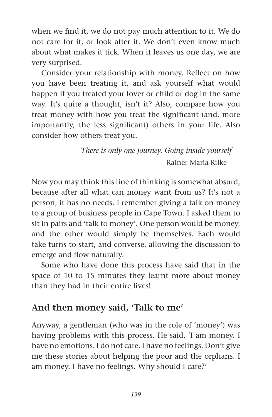when we find it, we do not pay much attention to it. We do not care for it, or look after it. We don't even know much about what makes it tick. When it leaves us one day, we are very surprised.

Consider your relationship with money. Reflect on how you have been treating it, and ask yourself what would happen if you treated your lover or child or dog in the same way. It's quite a thought, isn't it? Also, compare how you treat money with how you treat the significant (and, more importantly, the less significant) others in your life. Also consider how others treat you.

> *There is only one journey. Going inside yourself*  Rainer Maria Rilke

Now you may think this line of thinking is somewhat absurd, because after all what can money want from us? It's not a person, it has no needs. I remember giving a talk on money to a group of business people in Cape Town. I asked them to sit in pairs and 'talk to money'. One person would be money, and the other would simply be themselves. Each would take turns to start, and converse, allowing the discussion to emerge and flow naturally.

Some who have done this process have said that in the space of 10 to 15 minutes they learnt more about money than they had in their entire lives!

## **And then money said, 'Talk to me'**

Anyway, a gentleman (who was in the role of 'money') was having problems with this process. He said, 'I am money. I have no emotions. I do not care. I have no feelings. Don't give me these stories about helping the poor and the orphans. I am money. I have no feelings. Why should I care?'